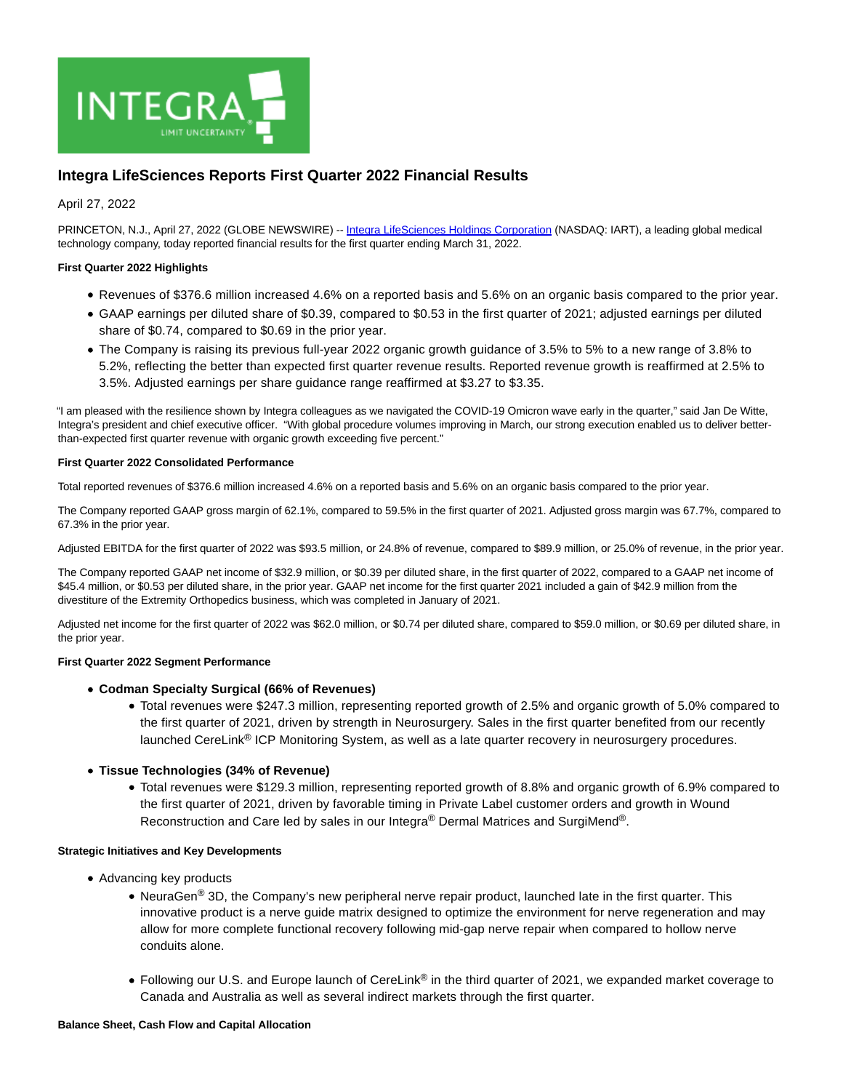

# **Integra LifeSciences Reports First Quarter 2022 Financial Results**

April 27, 2022

PRINCETON, N.J., April 27, 2022 (GLOBE NEWSWIRE) -- [Integra LifeSciences Holdings Corporation \(](https://www.globenewswire.com/Tracker?data=9JM-_1Yu7xZnuBqP_jmSve2HYgx9jxa39wMqkCGw9GUsGL17R_Beq3J5cXc04cON07qyFwFHGhPj14J9DW7oFt7brixKhQztkX_nRJdwsAeFw-WevnWvL0zYFPIS2WWm)NASDAQ: IART), a leading global medical technology company, today reported financial results for the first quarter ending March 31, 2022.

### **First Quarter 2022 Highlights**

- Revenues of \$376.6 million increased 4.6% on a reported basis and 5.6% on an organic basis compared to the prior year.
- GAAP earnings per diluted share of \$0.39, compared to \$0.53 in the first quarter of 2021; adjusted earnings per diluted share of \$0.74, compared to \$0.69 in the prior year.
- The Company is raising its previous full-year 2022 organic growth guidance of 3.5% to 5% to a new range of 3.8% to 5.2%, reflecting the better than expected first quarter revenue results. Reported revenue growth is reaffirmed at 2.5% to 3.5%. Adjusted earnings per share guidance range reaffirmed at \$3.27 to \$3.35.

"I am pleased with the resilience shown by Integra colleagues as we navigated the COVID-19 Omicron wave early in the quarter," said Jan De Witte, Integra's president and chief executive officer. "With global procedure volumes improving in March, our strong execution enabled us to deliver betterthan-expected first quarter revenue with organic growth exceeding five percent."

### **First Quarter 2022 Consolidated Performance**

Total reported revenues of \$376.6 million increased 4.6% on a reported basis and 5.6% on an organic basis compared to the prior year.

The Company reported GAAP gross margin of 62.1%, compared to 59.5% in the first quarter of 2021. Adjusted gross margin was 67.7%, compared to 67.3% in the prior year.

Adjusted EBITDA for the first quarter of 2022 was \$93.5 million, or 24.8% of revenue, compared to \$89.9 million, or 25.0% of revenue, in the prior year.

The Company reported GAAP net income of \$32.9 million, or \$0.39 per diluted share, in the first quarter of 2022, compared to a GAAP net income of \$45.4 million, or \$0.53 per diluted share, in the prior year. GAAP net income for the first quarter 2021 included a gain of \$42.9 million from the divestiture of the Extremity Orthopedics business, which was completed in January of 2021.

Adjusted net income for the first quarter of 2022 was \$62.0 million, or \$0.74 per diluted share, compared to \$59.0 million, or \$0.69 per diluted share, in the prior year.

### **First Quarter 2022 Segment Performance**

- **Codman Specialty Surgical (66% of Revenues)**
	- Total revenues were \$247.3 million, representing reported growth of 2.5% and organic growth of 5.0% compared to the first quarter of 2021, driven by strength in Neurosurgery. Sales in the first quarter benefited from our recently launched CereLink® ICP Monitoring System, as well as a late quarter recovery in neurosurgery procedures.
- **Tissue Technologies (34% of Revenue)**
	- Total revenues were \$129.3 million, representing reported growth of 8.8% and organic growth of 6.9% compared to the first quarter of 2021, driven by favorable timing in Private Label customer orders and growth in Wound Reconstruction and Care led by sales in our Integra® Dermal Matrices and SurgiMend®.

### **Strategic Initiatives and Key Developments**

- Advancing key products
	- NeuraGen<sup>®</sup> 3D, the Company's new peripheral nerve repair product, launched late in the first quarter. This innovative product is a nerve guide matrix designed to optimize the environment for nerve regeneration and may allow for more complete functional recovery following mid-gap nerve repair when compared to hollow nerve conduits alone.
	- Following our U.S. and Europe launch of CereLink® in the third quarter of 2021, we expanded market coverage to Canada and Australia as well as several indirect markets through the first quarter.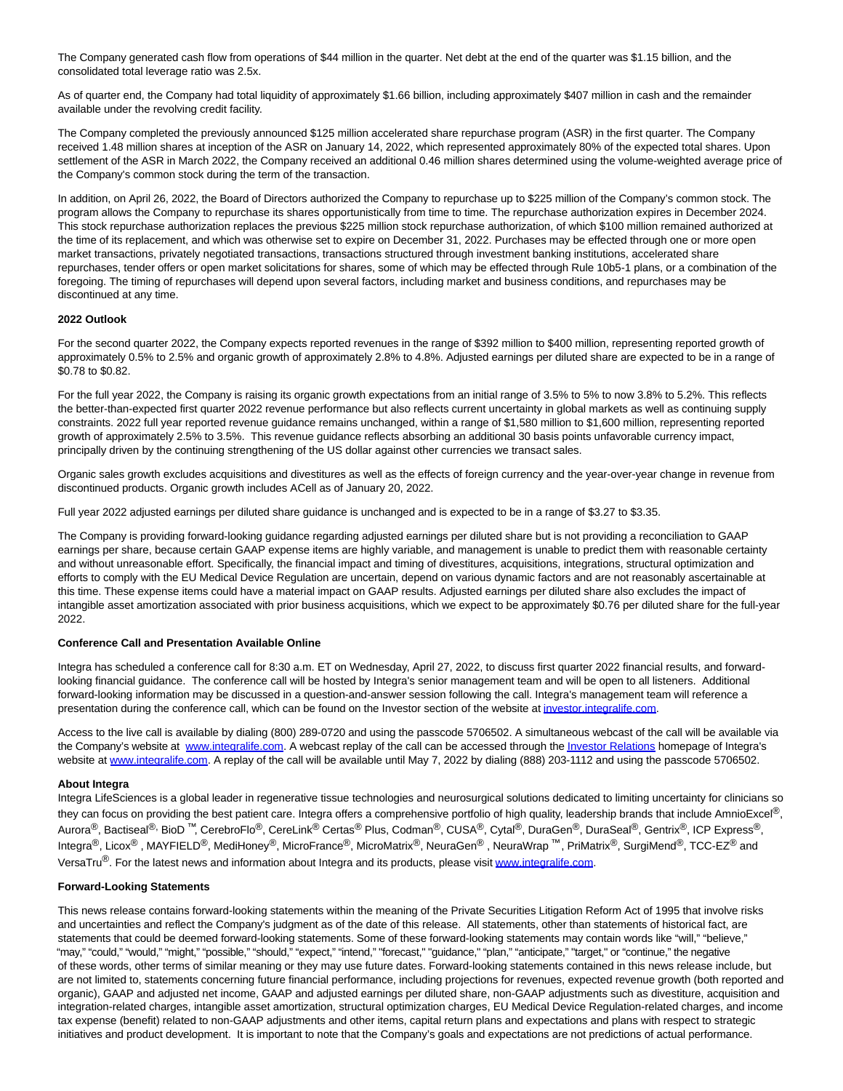The Company generated cash flow from operations of \$44 million in the quarter. Net debt at the end of the quarter was \$1.15 billion, and the consolidated total leverage ratio was 2.5x.

As of quarter end, the Company had total liquidity of approximately \$1.66 billion, including approximately \$407 million in cash and the remainder available under the revolving credit facility.

The Company completed the previously announced \$125 million accelerated share repurchase program (ASR) in the first quarter. The Company received 1.48 million shares at inception of the ASR on January 14, 2022, which represented approximately 80% of the expected total shares. Upon settlement of the ASR in March 2022, the Company received an additional 0.46 million shares determined using the volume-weighted average price of the Company's common stock during the term of the transaction.

In addition, on April 26, 2022, the Board of Directors authorized the Company to repurchase up to \$225 million of the Company's common stock. The program allows the Company to repurchase its shares opportunistically from time to time. The repurchase authorization expires in December 2024. This stock repurchase authorization replaces the previous \$225 million stock repurchase authorization, of which \$100 million remained authorized at the time of its replacement, and which was otherwise set to expire on December 31, 2022. Purchases may be effected through one or more open market transactions, privately negotiated transactions, transactions structured through investment banking institutions, accelerated share repurchases, tender offers or open market solicitations for shares, some of which may be effected through Rule 10b5-1 plans, or a combination of the foregoing. The timing of repurchases will depend upon several factors, including market and business conditions, and repurchases may be discontinued at any time.

### **2022 Outlook**

For the second quarter 2022, the Company expects reported revenues in the range of \$392 million to \$400 million, representing reported growth of approximately 0.5% to 2.5% and organic growth of approximately 2.8% to 4.8%. Adjusted earnings per diluted share are expected to be in a range of \$0.78 to \$0.82.

For the full year 2022, the Company is raising its organic growth expectations from an initial range of 3.5% to 5% to now 3.8% to 5.2%. This reflects the better-than-expected first quarter 2022 revenue performance but also reflects current uncertainty in global markets as well as continuing supply constraints. 2022 full year reported revenue guidance remains unchanged, within a range of \$1,580 million to \$1,600 million, representing reported growth of approximately 2.5% to 3.5%. This revenue guidance reflects absorbing an additional 30 basis points unfavorable currency impact, principally driven by the continuing strengthening of the US dollar against other currencies we transact sales.

Organic sales growth excludes acquisitions and divestitures as well as the effects of foreign currency and the year-over-year change in revenue from discontinued products. Organic growth includes ACell as of January 20, 2022.

Full year 2022 adjusted earnings per diluted share guidance is unchanged and is expected to be in a range of \$3.27 to \$3.35.

The Company is providing forward-looking guidance regarding adjusted earnings per diluted share but is not providing a reconciliation to GAAP earnings per share, because certain GAAP expense items are highly variable, and management is unable to predict them with reasonable certainty and without unreasonable effort. Specifically, the financial impact and timing of divestitures, acquisitions, integrations, structural optimization and efforts to comply with the EU Medical Device Regulation are uncertain, depend on various dynamic factors and are not reasonably ascertainable at this time. These expense items could have a material impact on GAAP results. Adjusted earnings per diluted share also excludes the impact of intangible asset amortization associated with prior business acquisitions, which we expect to be approximately \$0.76 per diluted share for the full-year 2022.

### **Conference Call and Presentation Available Online**

Integra has scheduled a conference call for 8:30 a.m. ET on Wednesday, April 27, 2022, to discuss first quarter 2022 financial results, and forwardlooking financial guidance. The conference call will be hosted by Integra's senior management team and will be open to all listeners. Additional forward-looking information may be discussed in a question-and-answer session following the call. Integra's management team will reference a presentation during the conference call, which can be found on the Investor section of the website at investor integralife.com.

Access to the live call is available by dialing (800) 289-0720 and using the passcode 5706502. A simultaneous webcast of the call will be available via the Company's website at [www.integralife.com.](https://www.globenewswire.com/Tracker?data=YWPWNaHKYr5e6O2TmOfgjpbl2XfIN9ygBPi0VhPau1t534SU9wESIcHoBj_T5ASCdbqrM3u3_kM3gMNy-eDHQeZDVr0mhER_x-YtGvnhMOc=) A webcast replay of the call can be accessed through th[e Investor Relations h](https://www.globenewswire.com/Tracker?data=eHAMst6uoNHekCOQNld_zmr8-iJ7WnGLkDzpPzxRdlaHyS5-15yLklfl-zO8SrHSDt32pmgOfswMPmsPJqrdjgGKtnAW6H4rDHAv-aQnZOo=)omepage of Integra's website at [www.integralife.com.](https://www.globenewswire.com/Tracker?data=YWPWNaHKYr5e6O2TmOfgjj29yy7y1Dzm1KeIo5j09qTKE_pbpMzxVxxxAc0cb_gcg29hOWa8KWhPA-uvAbcEXLLBWDcvtuYCvzjW_lQ8Nr8=) A replay of the call will be available until May 7, 2022 by dialing (888) 203-1112 and using the passcode 5706502.

### **About Integra**

Integra LifeSciences is a global leader in regenerative tissue technologies and neurosurgical solutions dedicated to limiting uncertainty for clinicians so they can focus on providing the best patient care. Integra offers a comprehensive portfolio of high quality, leadership brands that include AmnioExcel®, Aurora<sup>®</sup>, Bactiseal<sup>®,</sup> BioD<sup>™</sup>, CerebroFlo<sup>®</sup>, CereLink<sup>®</sup> Certas<sup>®</sup> Plus, Codman<sup>®</sup>, CUSA<sup>®</sup>, Cytal<sup>®</sup>, DuraGen<sup>®</sup>, DuraSeal<sup>®</sup>, Gentrix<sup>®</sup>, ICP Express<sup>®</sup>, Integra<sup>®</sup>, Licox<sup>®</sup>, MAYFIELD<sup>®</sup>, MediHoney<sup>®</sup>, MicroFrance<sup>®</sup>, MicroMatrix<sup>®</sup>, NeuraGen<sup>®</sup>, NeuraWrap<sup>™</sup>, PriMatrix®, SurgiMend<sup>®</sup>, TCC-EZ<sup>®</sup> and VersaTru<sup>®</sup>. For the latest news and information about Integra and its products, please visit [www.integralife.com.](https://www.globenewswire.com/Tracker?data=YWPWNaHKYr5e6O2TmOfgjrMUiAEAuXHQewbBafXPukBTF8rHNFf8Idr7yf_JJgrft1crSKi4EC-ubEKc78gQ11n0lTdgReleMAx2iOD4GiI=)

### **Forward-Looking Statements**

This news release contains forward-looking statements within the meaning of the Private Securities Litigation Reform Act of 1995 that involve risks and uncertainties and reflect the Company's judgment as of the date of this release. All statements, other than statements of historical fact, are statements that could be deemed forward-looking statements. Some of these forward-looking statements may contain words like "will," "believe," "may," "could," "would," "might," "possible," "should," "expect," "intend," "forecast," "guidance," "plan," "anticipate," "target," or "continue," the negative of these words, other terms of similar meaning or they may use future dates. Forward-looking statements contained in this news release include, but are not limited to, statements concerning future financial performance, including projections for revenues, expected revenue growth (both reported and organic), GAAP and adjusted net income, GAAP and adjusted earnings per diluted share, non-GAAP adjustments such as divestiture, acquisition and integration-related charges, intangible asset amortization, structural optimization charges, EU Medical Device Regulation-related charges, and income tax expense (benefit) related to non-GAAP adjustments and other items, capital return plans and expectations and plans with respect to strategic initiatives and product development. It is important to note that the Company's goals and expectations are not predictions of actual performance.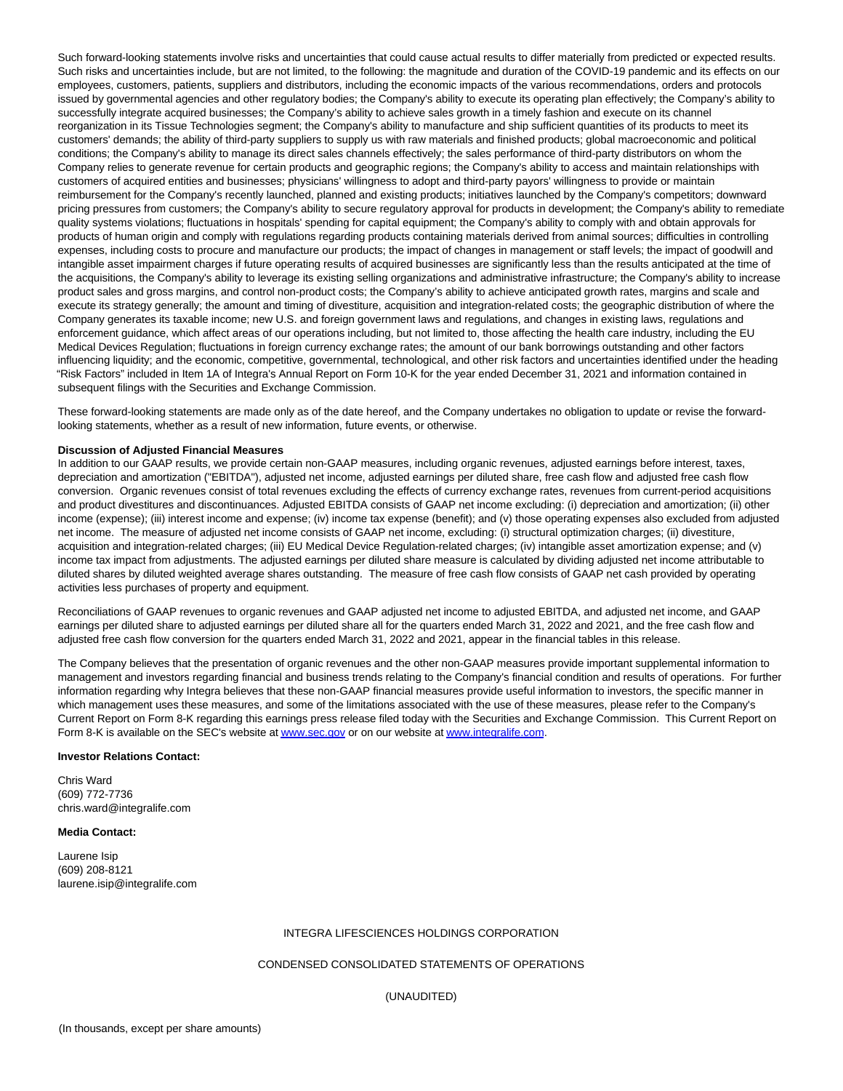Such forward-looking statements involve risks and uncertainties that could cause actual results to differ materially from predicted or expected results. Such risks and uncertainties include, but are not limited, to the following: the magnitude and duration of the COVID-19 pandemic and its effects on our employees, customers, patients, suppliers and distributors, including the economic impacts of the various recommendations, orders and protocols issued by governmental agencies and other regulatory bodies; the Company's ability to execute its operating plan effectively; the Company's ability to successfully integrate acquired businesses; the Company's ability to achieve sales growth in a timely fashion and execute on its channel reorganization in its Tissue Technologies segment; the Company's ability to manufacture and ship sufficient quantities of its products to meet its customers' demands; the ability of third-party suppliers to supply us with raw materials and finished products; global macroeconomic and political conditions; the Company's ability to manage its direct sales channels effectively; the sales performance of third-party distributors on whom the Company relies to generate revenue for certain products and geographic regions; the Company's ability to access and maintain relationships with customers of acquired entities and businesses; physicians' willingness to adopt and third-party payors' willingness to provide or maintain reimbursement for the Company's recently launched, planned and existing products; initiatives launched by the Company's competitors; downward pricing pressures from customers; the Company's ability to secure regulatory approval for products in development; the Company's ability to remediate quality systems violations; fluctuations in hospitals' spending for capital equipment; the Company's ability to comply with and obtain approvals for products of human origin and comply with regulations regarding products containing materials derived from animal sources; difficulties in controlling expenses, including costs to procure and manufacture our products; the impact of changes in management or staff levels; the impact of goodwill and intangible asset impairment charges if future operating results of acquired businesses are significantly less than the results anticipated at the time of the acquisitions, the Company's ability to leverage its existing selling organizations and administrative infrastructure; the Company's ability to increase product sales and gross margins, and control non-product costs; the Company's ability to achieve anticipated growth rates, margins and scale and execute its strategy generally; the amount and timing of divestiture, acquisition and integration-related costs; the geographic distribution of where the Company generates its taxable income; new U.S. and foreign government laws and regulations, and changes in existing laws, regulations and enforcement guidance, which affect areas of our operations including, but not limited to, those affecting the health care industry, including the EU Medical Devices Regulation; fluctuations in foreign currency exchange rates; the amount of our bank borrowings outstanding and other factors influencing liquidity; and the economic, competitive, governmental, technological, and other risk factors and uncertainties identified under the heading "Risk Factors" included in Item 1A of Integra's Annual Report on Form 10-K for the year ended December 31, 2021 and information contained in subsequent filings with the Securities and Exchange Commission.

These forward-looking statements are made only as of the date hereof, and the Company undertakes no obligation to update or revise the forwardlooking statements, whether as a result of new information, future events, or otherwise.

#### **Discussion of Adjusted Financial Measures**

In addition to our GAAP results, we provide certain non-GAAP measures, including organic revenues, adjusted earnings before interest, taxes, depreciation and amortization ("EBITDA"), adjusted net income, adjusted earnings per diluted share, free cash flow and adjusted free cash flow conversion. Organic revenues consist of total revenues excluding the effects of currency exchange rates, revenues from current-period acquisitions and product divestitures and discontinuances. Adjusted EBITDA consists of GAAP net income excluding: (i) depreciation and amortization; (ii) other income (expense); (iii) interest income and expense; (iv) income tax expense (benefit); and (v) those operating expenses also excluded from adjusted net income. The measure of adjusted net income consists of GAAP net income, excluding: (i) structural optimization charges; (ii) divestiture, acquisition and integration-related charges; (iii) EU Medical Device Regulation-related charges; (iv) intangible asset amortization expense; and (v) income tax impact from adjustments. The adjusted earnings per diluted share measure is calculated by dividing adjusted net income attributable to diluted shares by diluted weighted average shares outstanding. The measure of free cash flow consists of GAAP net cash provided by operating activities less purchases of property and equipment.

Reconciliations of GAAP revenues to organic revenues and GAAP adjusted net income to adjusted EBITDA, and adjusted net income, and GAAP earnings per diluted share to adjusted earnings per diluted share all for the quarters ended March 31, 2022 and 2021, and the free cash flow and adjusted free cash flow conversion for the quarters ended March 31, 2022 and 2021, appear in the financial tables in this release.

The Company believes that the presentation of organic revenues and the other non-GAAP measures provide important supplemental information to management and investors regarding financial and business trends relating to the Company's financial condition and results of operations. For further information regarding why Integra believes that these non-GAAP financial measures provide useful information to investors, the specific manner in which management uses these measures, and some of the limitations associated with the use of these measures, please refer to the Company's Current Report on Form 8-K regarding this earnings press release filed today with the Securities and Exchange Commission. This Current Report on Form 8-K is available on the SEC's website a[t www.sec.gov o](https://www.globenewswire.com/Tracker?data=6Ko4CtL9u9I9Bhxmufwgh4Vyd9_fB---4-aEqP7oFWZCMll4QXph-STAFIZynKM_rH6TS914ST6IOXMPstQrHA==)r on our website a[t www.integralife.com.](https://www.globenewswire.com/Tracker?data=YWPWNaHKYr5e6O2TmOfgjnCBEAsVo9Y8g1nty4TTDXea81jTqgMvqGfIBRXkkSLeYgT1XksRqeTy7rcV1PqRinANQuiqx4X9BPXkII5rx7Y=)

#### **Investor Relations Contact:**

Chris Ward (609) 772-7736 chris.ward@integralife.com

#### **Media Contact:**

Laurene Isip (609) 208-8121 laurene.isip@integralife.com

#### INTEGRA LIFESCIENCES HOLDINGS CORPORATION

### CONDENSED CONSOLIDATED STATEMENTS OF OPERATIONS

(UNAUDITED)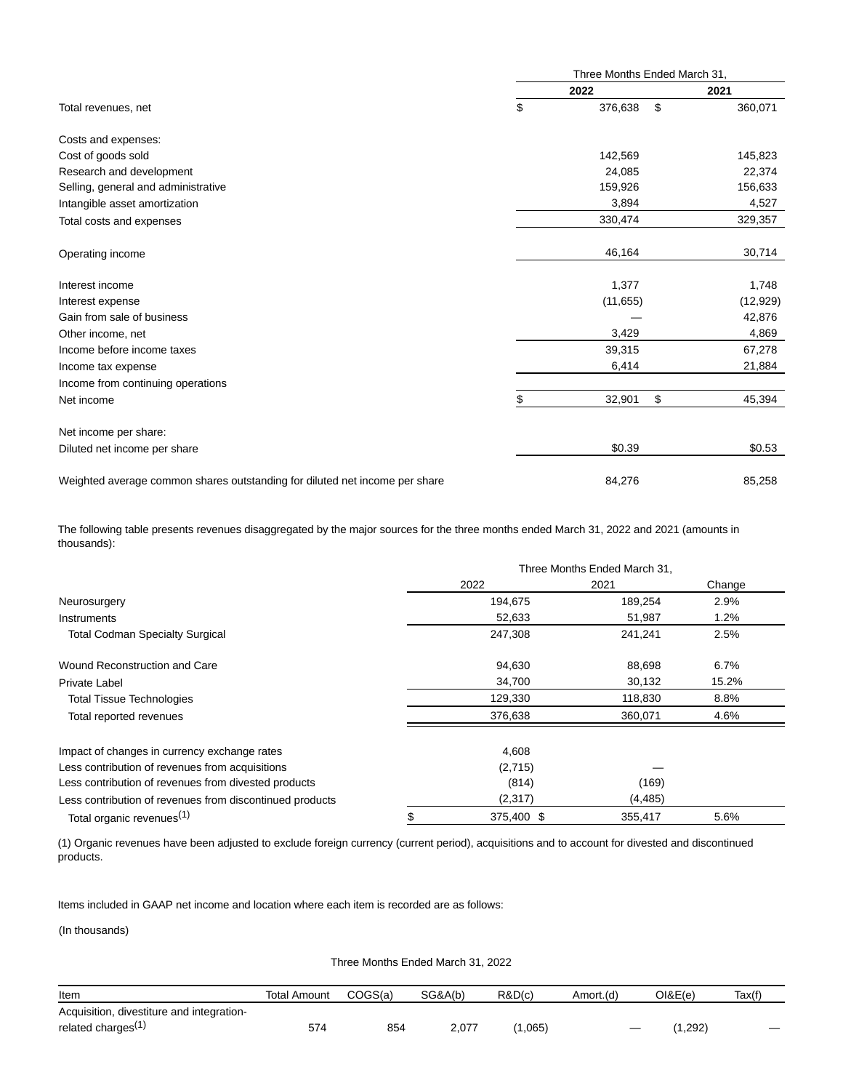|                                                                             | Three Months Ended March 31, |           |                         |           |  |
|-----------------------------------------------------------------------------|------------------------------|-----------|-------------------------|-----------|--|
|                                                                             | 2022                         |           |                         | 2021      |  |
| Total revenues, net                                                         | \$                           | 376,638   | \$                      | 360,071   |  |
| Costs and expenses:                                                         |                              |           |                         |           |  |
| Cost of goods sold                                                          |                              | 142,569   |                         | 145,823   |  |
| Research and development                                                    |                              | 24,085    |                         | 22,374    |  |
| Selling, general and administrative                                         |                              | 159,926   |                         | 156,633   |  |
| Intangible asset amortization                                               |                              | 3,894     |                         | 4,527     |  |
| Total costs and expenses                                                    |                              | 330,474   |                         | 329,357   |  |
| Operating income                                                            |                              | 46,164    |                         | 30,714    |  |
| Interest income                                                             |                              | 1,377     |                         | 1,748     |  |
| Interest expense                                                            |                              | (11, 655) |                         | (12, 929) |  |
| Gain from sale of business                                                  |                              |           |                         | 42,876    |  |
| Other income, net                                                           |                              | 3,429     |                         | 4,869     |  |
| Income before income taxes                                                  |                              | 39,315    |                         | 67,278    |  |
| Income tax expense                                                          |                              | 6,414     |                         | 21,884    |  |
| Income from continuing operations                                           |                              |           |                         |           |  |
| Net income                                                                  | \$                           | 32,901    | $\sqrt[6]{\frac{1}{2}}$ | 45,394    |  |
| Net income per share:                                                       |                              |           |                         |           |  |
| Diluted net income per share                                                |                              | \$0.39    |                         | \$0.53    |  |
| Weighted average common shares outstanding for diluted net income per share |                              | 84,276    |                         | 85,258    |  |

The following table presents revenues disaggregated by the major sources for the three months ended March 31, 2022 and 2021 (amounts in thousands):

|                                                          | Three Months Ended March 31, |          |        |  |
|----------------------------------------------------------|------------------------------|----------|--------|--|
|                                                          | 2022                         | 2021     | Change |  |
| Neurosurgery                                             | 194,675                      | 189,254  | 2.9%   |  |
| Instruments                                              | 52,633                       | 51,987   | 1.2%   |  |
| <b>Total Codman Specialty Surgical</b>                   | 247,308                      | 241,241  | 2.5%   |  |
| Wound Reconstruction and Care                            | 94,630                       | 88,698   | 6.7%   |  |
| <b>Private Label</b>                                     | 34,700                       | 30,132   | 15.2%  |  |
| <b>Total Tissue Technologies</b>                         | 129,330                      | 118,830  | 8.8%   |  |
| Total reported revenues                                  | 376,638                      | 360,071  | 4.6%   |  |
| Impact of changes in currency exchange rates             | 4,608                        |          |        |  |
| Less contribution of revenues from acquisitions          | (2,715)                      |          |        |  |
| Less contribution of revenues from divested products     | (814)                        | (169)    |        |  |
| Less contribution of revenues from discontinued products | (2,317)                      | (4, 485) |        |  |
| Total organic revenues <sup>(1)</sup>                    | 375,400 \$                   | 355,417  | 5.6%   |  |

(1) Organic revenues have been adjusted to exclude foreign currency (current period), acquisitions and to account for divested and discontinued products.

Items included in GAAP net income and location where each item is recorded are as follows:

(In thousands)

|  | Three Months Ended March 31, 2022 |  |  |  |  |
|--|-----------------------------------|--|--|--|--|
|--|-----------------------------------|--|--|--|--|

| ltem                                      | Total Amount | COGS(a) | SG&A(b) | R&D(c) | Amort.(d) | O(BE(e)) | Tax(f)                   |
|-------------------------------------------|--------------|---------|---------|--------|-----------|----------|--------------------------|
| Acquisition, divestiture and integration- |              |         |         |        |           |          |                          |
| related charges <sup>(1</sup>             | 574          | 854     | 2,077   | . 065) |           | ,292)    | $\overline{\phantom{a}}$ |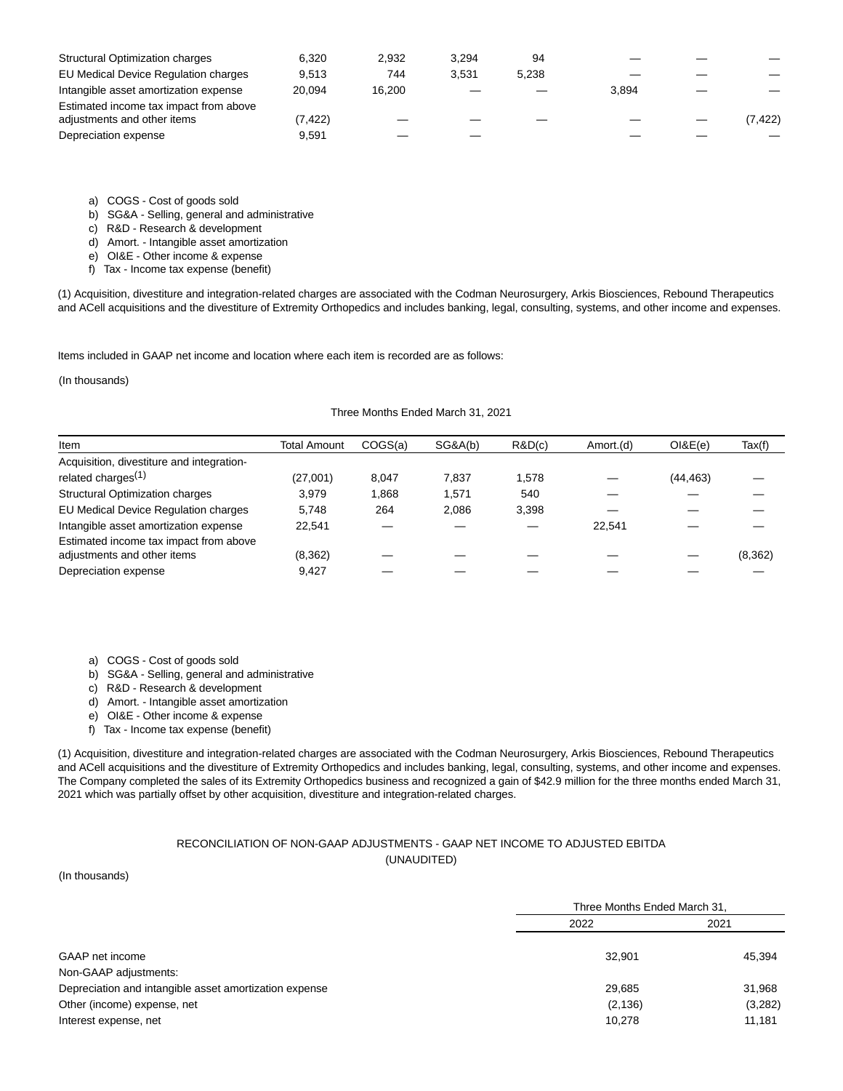| <b>Structural Optimization charges</b>                                | 6.320  | 2.932  | 3.294 | 94    |       |          |
|-----------------------------------------------------------------------|--------|--------|-------|-------|-------|----------|
| EU Medical Device Regulation charges                                  | 9.513  | 744    | 3.531 | 5.238 |       |          |
| Intangible asset amortization expense                                 | 20.094 | 16.200 |       |       | 3.894 |          |
| Estimated income tax impact from above<br>adjustments and other items | 7,422  |        |       |       |       | (7, 422) |
| Depreciation expense                                                  | 9.591  |        |       |       |       |          |

a) COGS - Cost of goods sold

b) SG&A - Selling, general and administrative

c) R&D - Research & development

d) Amort. - Intangible asset amortization

e) OI&E - Other income & expense

f) Tax - Income tax expense (benefit)

(1) Acquisition, divestiture and integration-related charges are associated with the Codman Neurosurgery, Arkis Biosciences, Rebound Therapeutics and ACell acquisitions and the divestiture of Extremity Orthopedics and includes banking, legal, consulting, systems, and other income and expenses.

Items included in GAAP net income and location where each item is recorded are as follows:

(In thousands)

### Three Months Ended March 31, 2021

| Item                                      | Total Amount | COGS(a) | SG&A(b) | R&D(c) | Amort.(d) | $O l$ &E $(e)$ | Tax(f)   |
|-------------------------------------------|--------------|---------|---------|--------|-----------|----------------|----------|
| Acquisition, divestiture and integration- |              |         |         |        |           |                |          |
| related charges <sup>(1)</sup>            | (27,001)     | 8.047   | 7.837   | 1,578  |           | (44, 463)      |          |
| <b>Structural Optimization charges</b>    | 3.979        | 868.    | 1.571   | 540    |           |                |          |
| EU Medical Device Regulation charges      | 5.748        | 264     | 2.086   | 3,398  |           |                |          |
| Intangible asset amortization expense     | 22.541       |         |         |        | 22.541    |                |          |
| Estimated income tax impact from above    |              |         |         |        |           |                |          |
| adjustments and other items               | (8,362)      |         |         |        |           |                | (8, 362) |
| Depreciation expense                      | 9.427        |         |         |        |           |                |          |
|                                           |              |         |         |        |           |                |          |

a) COGS - Cost of goods sold

b) SG&A - Selling, general and administrative

c) R&D - Research & development

d) Amort. - Intangible asset amortization

e) OI&E - Other income & expense

f) Tax - Income tax expense (benefit)

(1) Acquisition, divestiture and integration-related charges are associated with the Codman Neurosurgery, Arkis Biosciences, Rebound Therapeutics and ACell acquisitions and the divestiture of Extremity Orthopedics and includes banking, legal, consulting, systems, and other income and expenses. The Company completed the sales of its Extremity Orthopedics business and recognized a gain of \$42.9 million for the three months ended March 31, 2021 which was partially offset by other acquisition, divestiture and integration-related charges.

### RECONCILIATION OF NON-GAAP ADJUSTMENTS - GAAP NET INCOME TO ADJUSTED EBITDA (UNAUDITED)

#### (In thousands)

|                                                        |          | Three Months Ended March 31, |  |  |
|--------------------------------------------------------|----------|------------------------------|--|--|
|                                                        | 2022     | 2021                         |  |  |
| GAAP net income                                        | 32.901   | 45,394                       |  |  |
| Non-GAAP adjustments:                                  |          |                              |  |  |
| Depreciation and intangible asset amortization expense | 29.685   | 31,968                       |  |  |
| Other (income) expense, net                            | (2, 136) | (3,282)                      |  |  |
| Interest expense, net                                  | 10,278   | 11.181                       |  |  |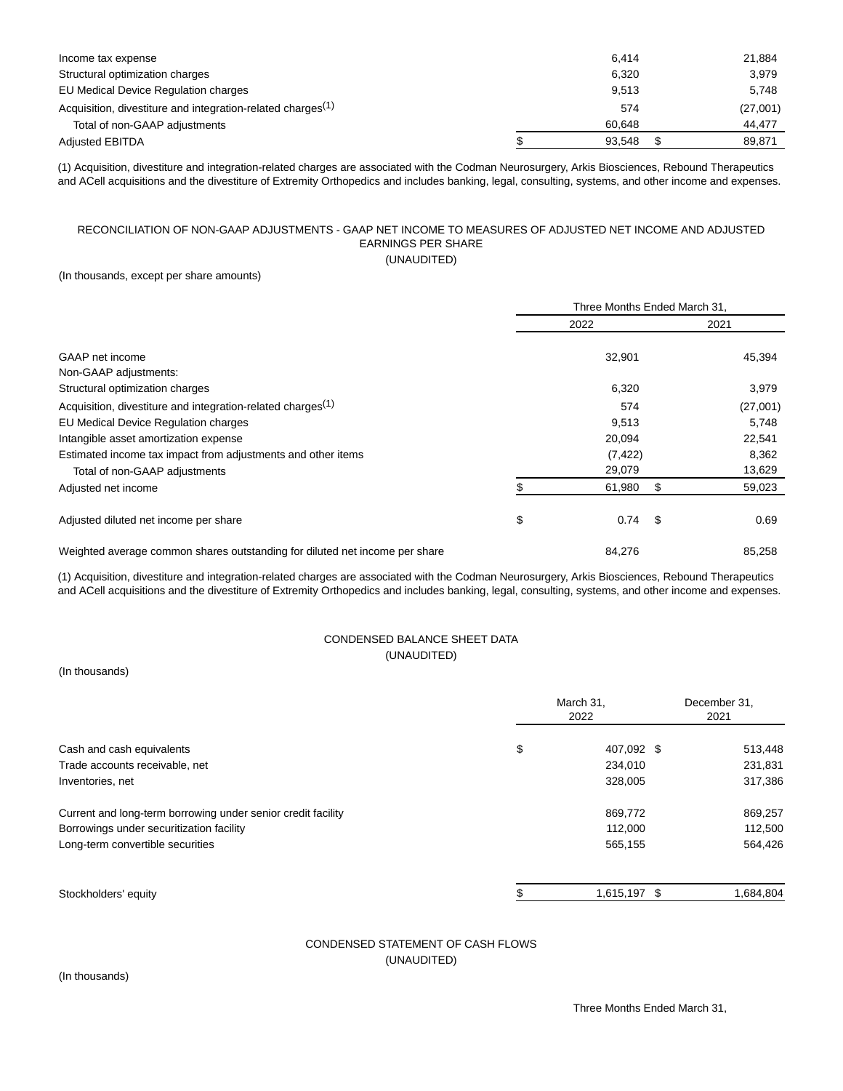| Income tax expense                                                      | 6.414  | 21.884   |
|-------------------------------------------------------------------------|--------|----------|
|                                                                         |        |          |
| Structural optimization charges                                         | 6.320  | 3.979    |
| EU Medical Device Regulation charges                                    | 9.513  | 5,748    |
| Acquisition, divestiture and integration-related charges <sup>(1)</sup> | 574    | (27,001) |
| Total of non-GAAP adjustments                                           | 60.648 | 44.477   |
| <b>Adjusted EBITDA</b>                                                  | 93.548 | 89.871   |

(1) Acquisition, divestiture and integration-related charges are associated with the Codman Neurosurgery, Arkis Biosciences, Rebound Therapeutics and ACell acquisitions and the divestiture of Extremity Orthopedics and includes banking, legal, consulting, systems, and other income and expenses.

### RECONCILIATION OF NON-GAAP ADJUSTMENTS - GAAP NET INCOME TO MEASURES OF ADJUSTED NET INCOME AND ADJUSTED EARNINGS PER SHARE (UNAUDITED)

(In thousands, except per share amounts)

|                                                                             | Three Months Ended March 31, |    |          |
|-----------------------------------------------------------------------------|------------------------------|----|----------|
|                                                                             | 2022                         |    | 2021     |
| GAAP net income                                                             | 32,901                       |    | 45,394   |
| Non-GAAP adjustments:                                                       |                              |    |          |
| Structural optimization charges                                             | 6,320                        |    | 3,979    |
| Acquisition, divestiture and integration-related charges <sup>(1)</sup>     | 574                          |    | (27,001) |
| EU Medical Device Regulation charges                                        | 9,513                        |    | 5,748    |
| Intangible asset amortization expense                                       | 20,094                       |    | 22,541   |
| Estimated income tax impact from adjustments and other items                | (7, 422)                     |    | 8,362    |
| Total of non-GAAP adjustments                                               | 29,079                       |    | 13,629   |
| Adjusted net income                                                         | 61,980                       | \$ | 59,023   |
| Adjusted diluted net income per share                                       | \$<br>0.74                   | S. | 0.69     |
| Weighted average common shares outstanding for diluted net income per share | 84,276                       |    | 85,258   |

(1) Acquisition, divestiture and integration-related charges are associated with the Codman Neurosurgery, Arkis Biosciences, Rebound Therapeutics and ACell acquisitions and the divestiture of Extremity Orthopedics and includes banking, legal, consulting, systems, and other income and expenses.

# CONDENSED BALANCE SHEET DATA (UNAUDITED)

(In thousands)

|                                                              | March 31,<br>2022 |              | December 31,<br>2021 |  |
|--------------------------------------------------------------|-------------------|--------------|----------------------|--|
| Cash and cash equivalents                                    | \$                | 407,092 \$   | 513,448              |  |
| Trade accounts receivable, net                               |                   | 234,010      | 231,831              |  |
| Inventories, net                                             |                   | 328,005      | 317,386              |  |
| Current and long-term borrowing under senior credit facility |                   | 869,772      | 869,257              |  |
| Borrowings under securitization facility                     |                   | 112,000      | 112,500              |  |
| Long-term convertible securities                             |                   | 565,155      | 564,426              |  |
| Stockholders' equity                                         |                   | 1,615,197 \$ | 1,684,804            |  |

# CONDENSED STATEMENT OF CASH FLOWS (UNAUDITED)

(In thousands)